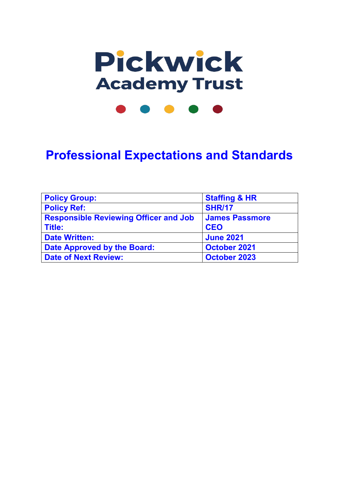

**Professional Expectations and Standards**

| <b>Policy Group:</b>                         | <b>Staffing &amp; HR</b> |
|----------------------------------------------|--------------------------|
|                                              |                          |
| <b>Policy Ref:</b>                           | <b>SHR/17</b>            |
|                                              |                          |
| <b>Responsible Reviewing Officer and Job</b> | <b>James Passmore</b>    |
|                                              |                          |
| <b>Title:</b>                                | <b>CEO</b>               |
|                                              |                          |
| <b>Date Written:</b>                         | <b>June 2021</b>         |
|                                              |                          |
| Date Approved by the Board:                  | <b>October 2021</b>      |
| <b>Date of Next Review:</b>                  | <b>October 2023</b>      |
|                                              |                          |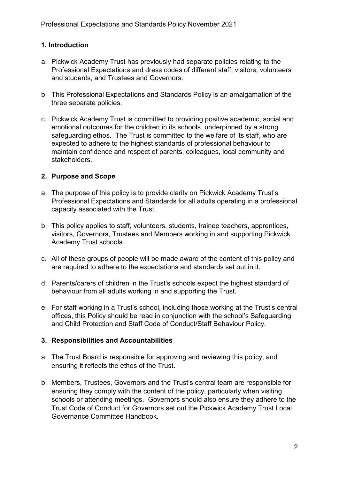## **1. Introduction**

- a. Pickwick Academy Trust has previously had separate policies relating to the Professional Expectations and dress codes of different staff, visitors, volunteers and students, and Trustees and Governors.
- b. This Professional Expectations and Standards Policy is an amalgamation of the three separate policies.
- c. Pickwick Academy Trust is committed to providing positive academic, social and emotional outcomes for the children in its schools, underpinned by a strong safeguarding ethos. The Trust is committed to the welfare of its staff, who are expected to adhere to the highest standards of professional behaviour to maintain confidence and respect of parents, colleagues, local community and stakeholders.

## **2. Purpose and Scope**

- a. The purpose of this policy is to provide clarity on Pickwick Academy Trust's Professional Expectations and Standards for all adults operating in a professional capacity associated with the Trust.
- b. This policy applies to staff, volunteers, students, trainee teachers, apprentices, visitors, Governors, Trustees and Members working in and supporting Pickwick Academy Trust schools.
- c. All of these groups of people will be made aware of the content of this policy and are required to adhere to the expectations and standards set out in it.
- d. Parents/carers of children in the Trust's schools expect the highest standard of behaviour from all adults working in and supporting the Trust.
- e. For staff working in a Trust's school, including those working at the Trust's central offices, this Policy should be read in conjunction with the school's Safeguarding and Child Protection and Staff Code of Conduct/Staff Behaviour Policy.

### **3. Responsibilities and Accountabilities**

- a. The Trust Board is responsible for approving and reviewing this policy, and ensuring it reflects the ethos of the Trust.
- b. Members, Trustees, Governors and the Trust's central team are responsible for ensuring they comply with the content of the policy, particularly when visiting schools or attending meetings. Governors should also ensure they adhere to the Trust Code of Conduct for Governors set out the Pickwick Academy Trust Local Governance Committee Handbook.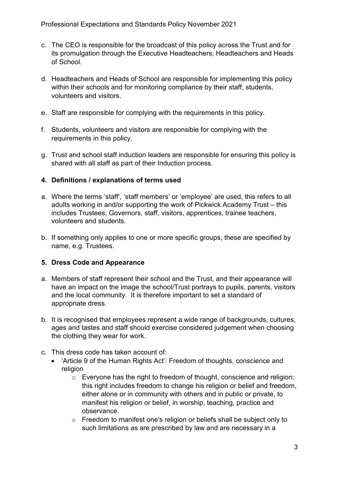- c. The CEO is responsible for the broadcast of this policy across the Trust and for its promulgation through the Executive Headteachers, Headteachers and Heads of School.
- d. Headteachers and Heads of School are responsible for implementing this policy within their schools and for monitoring compliance by their staff, students, volunteers and visitors.
- e. Staff are responsible for complying with the requirements in this policy.
- f. Students, volunteers and visitors are responsible for complying with the requirements in this policy.
- g. Trust and school staff induction leaders are responsible for ensuring this policy is shared with all staff as part of their Induction process.

### **4. Definitions / explanations of terms used**

- a. Where the terms 'staff', 'staff members' or 'employee' are used, this refers to all adults working in and/or supporting the work of Pickwick Academy Trust – this includes Trustees, Governors, staff, visitors, apprentices, trainee teachers, volunteers and students.
- b. If something only applies to one or more specific groups, these are specified by name, e.g. Trustees.

### **5. Dress Code and Appearance**

- a. Members of staff represent their school and the Trust, and their appearance will have an impact on the image the school/Trust portrays to pupils, parents, visitors and the local community. It is therefore important to set a standard of appropriate dress.
- b. It is recognised that employees represent a wide range of backgrounds, cultures, ages and tastes and staff should exercise considered judgement when choosing the clothing they wear for work.
- c. This dress code has taken account of:
	- 'Article 9 of the Human Rights Act': Freedom of thoughts, conscience and religion
		- o Everyone has the right to freedom of thought, conscience and religion; this right includes freedom to change his religion or belief and freedom, either alone or in community with others and in public or private, to manifest his religion or belief, in worship, teaching, practice and observance.
		- o Freedom to manifest one's religion or beliefs shall be subject only to such limitations as are prescribed by law and are necessary in a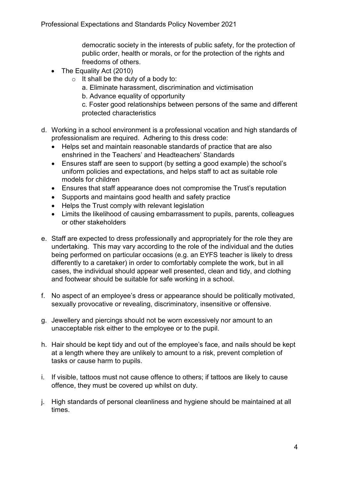democratic society in the interests of public safety, for the protection of public order, health or morals, or for the protection of the rights and freedoms of others.

- The Equality Act (2010)
	- $\circ$  It shall be the duty of a body to:
		- a. Eliminate harassment, discrimination and victimisation
		- b. Advance equality of opportunity

c. Foster good relationships between persons of the same and different protected characteristics

- d. Working in a school environment is a professional vocation and high standards of professionalism are required. Adhering to this dress code:
	- Helps set and maintain reasonable standards of practice that are also enshrined in the Teachers' and Headteachers' Standards
	- Ensures staff are seen to support (by setting a good example) the school's uniform policies and expectations, and helps staff to act as suitable role models for children
	- Ensures that staff appearance does not compromise the Trust's reputation
	- Supports and maintains good health and safety practice
	- Helps the Trust comply with relevant legislation
	- Limits the likelihood of causing embarrassment to pupils, parents, colleagues or other stakeholders
- e. Staff are expected to dress professionally and appropriately for the role they are undertaking. This may vary according to the role of the individual and the duties being performed on particular occasions (e.g. an EYFS teacher is likely to dress differently to a caretaker) in order to comfortably complete the work, but in all cases, the individual should appear well presented, clean and tidy, and clothing and footwear should be suitable for safe working in a school.
- f. No aspect of an employee's dress or appearance should be politically motivated, sexually provocative or revealing, discriminatory, insensitive or offensive.
- g. Jewellery and piercings should not be worn excessively nor amount to an unacceptable risk either to the employee or to the pupil.
- h. Hair should be kept tidy and out of the employee's face, and nails should be kept at a length where they are unlikely to amount to a risk, prevent completion of tasks or cause harm to pupils.
- i. If visible, tattoos must not cause offence to others; if tattoos are likely to cause offence, they must be covered up whilst on duty.
- j. High standards of personal cleanliness and hygiene should be maintained at all times.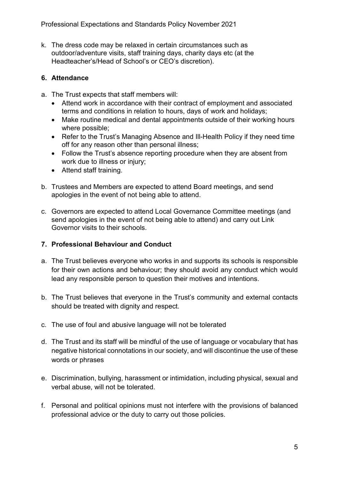k. The dress code may be relaxed in certain circumstances such as outdoor/adventure visits, staff training days, charity days etc (at the Headteacher's/Head of School's or CEO's discretion).

## **6. Attendance**

- a. The Trust expects that staff members will:
	- Attend work in accordance with their contract of employment and associated terms and conditions in relation to hours, days of work and holidays;
	- Make routine medical and dental appointments outside of their working hours where possible;
	- Refer to the Trust's Managing Absence and Ill-Health Policy if they need time off for any reason other than personal illness;
	- Follow the Trust's absence reporting procedure when they are absent from work due to illness or injury;
	- Attend staff training.
- b. Trustees and Members are expected to attend Board meetings, and send apologies in the event of not being able to attend.
- c. Governors are expected to attend Local Governance Committee meetings (and send apologies in the event of not being able to attend) and carry out Link Governor visits to their schools.

### **7. Professional Behaviour and Conduct**

- a. The Trust believes everyone who works in and supports its schools is responsible for their own actions and behaviour; they should avoid any conduct which would lead any responsible person to question their motives and intentions.
- b. The Trust believes that everyone in the Trust's community and external contacts should be treated with dignity and respect.
- c. The use of foul and abusive language will not be tolerated
- d. The Trust and its staff will be mindful of the use of language or vocabulary that has negative historical connotations in our society, and will discontinue the use of these words or phrases
- e. Discrimination, bullying, harassment or intimidation, including physical, sexual and verbal abuse, will not be tolerated.
- f. Personal and political opinions must not interfere with the provisions of balanced professional advice or the duty to carry out those policies.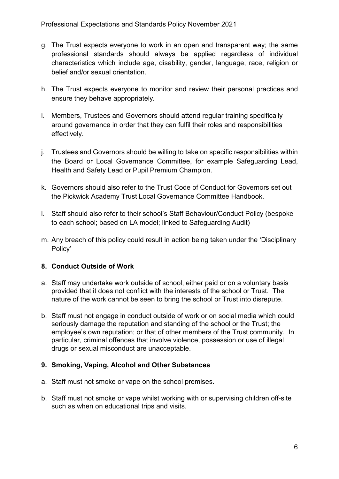- g. The Trust expects everyone to work in an open and transparent way; the same professional standards should always be applied regardless of individual characteristics which include age, disability, gender, language, race, religion or belief and/or sexual orientation.
- h. The Trust expects everyone to monitor and review their personal practices and ensure they behave appropriately*.*
- i. Members, Trustees and Governors should attend regular training specifically around governance in order that they can fulfil their roles and responsibilities effectively.
- j. Trustees and Governors should be willing to take on specific responsibilities within the Board or Local Governance Committee, for example Safeguarding Lead, Health and Safety Lead or Pupil Premium Champion.
- k. Governors should also refer to the Trust Code of Conduct for Governors set out the Pickwick Academy Trust Local Governance Committee Handbook.
- l. Staff should also refer to their school's Staff Behaviour/Conduct Policy (bespoke to each school; based on LA model; linked to Safeguarding Audit)
- m. Any breach of this policy could result in action being taken under the 'Disciplinary Policy'

# **8. Conduct Outside of Work**

- a. Staff may undertake work outside of school, either paid or on a voluntary basis provided that it does not conflict with the interests of the school or Trust. The nature of the work cannot be seen to bring the school or Trust into disrepute.
- b. Staff must not engage in conduct outside of work or on social media which could seriously damage the reputation and standing of the school or the Trust; the employee's own reputation; or that of other members of the Trust community. In particular, criminal offences that involve violence, possession or use of illegal drugs or sexual misconduct are unacceptable.

### **9. Smoking, Vaping, Alcohol and Other Substances**

- a. Staff must not smoke or vape on the school premises.
- b. Staff must not smoke or vape whilst working with or supervising children off-site such as when on educational trips and visits.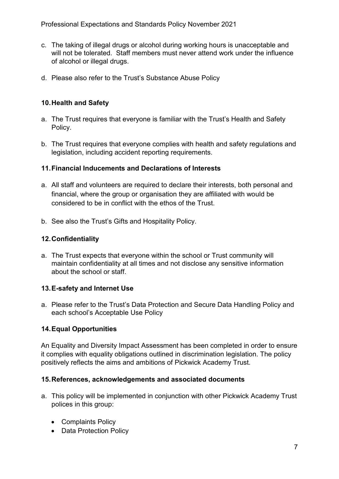- c. The taking of illegal drugs or alcohol during working hours is unacceptable and will not be tolerated. Staff members must never attend work under the influence of alcohol or illegal drugs.
- d. Please also refer to the Trust's Substance Abuse Policy

### **10.Health and Safety**

- a. The Trust requires that everyone is familiar with the Trust's Health and Safety Policy.
- b. The Trust requires that everyone complies with health and safety regulations and legislation, including accident reporting requirements.

## **11.Financial Inducements and Declarations of Interests**

- a. All staff and volunteers are required to declare their interests, both personal and financial, where the group or organisation they are affiliated with would be considered to be in conflict with the ethos of the Trust.
- b. See also the Trust's Gifts and Hospitality Policy.

### **12.Confidentiality**

a. The Trust expects that everyone within the school or Trust community will maintain confidentiality at all times and not disclose any sensitive information about the school or staff.

### **13.E-safety and Internet Use**

a. Please refer to the Trust's Data Protection and Secure Data Handling Policy and each school's Acceptable Use Policy

### **14.Equal Opportunities**

An Equality and Diversity Impact Assessment has been completed in order to ensure it complies with equality obligations outlined in discrimination legislation. The policy positively reflects the aims and ambitions of Pickwick Academy Trust.

### **15.References, acknowledgements and associated documents**

- a. This policy will be implemented in conjunction with other Pickwick Academy Trust polices in this group:
	- Complaints Policy
	- Data Protection Policy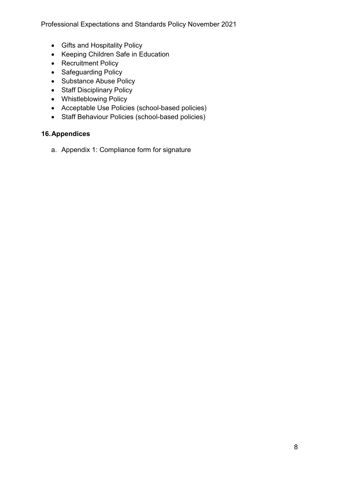- Gifts and Hospitality Policy
- Keeping Children Safe in Education
- Recruitment Policy
- Safeguarding Policy
- Substance Abuse Policy
- Staff Disciplinary Policy
- Whistleblowing Policy
- Acceptable Use Policies (school-based policies)
- Staff Behaviour Policies (school-based policies)

## **16.Appendices**

a. Appendix 1: Compliance form for signature